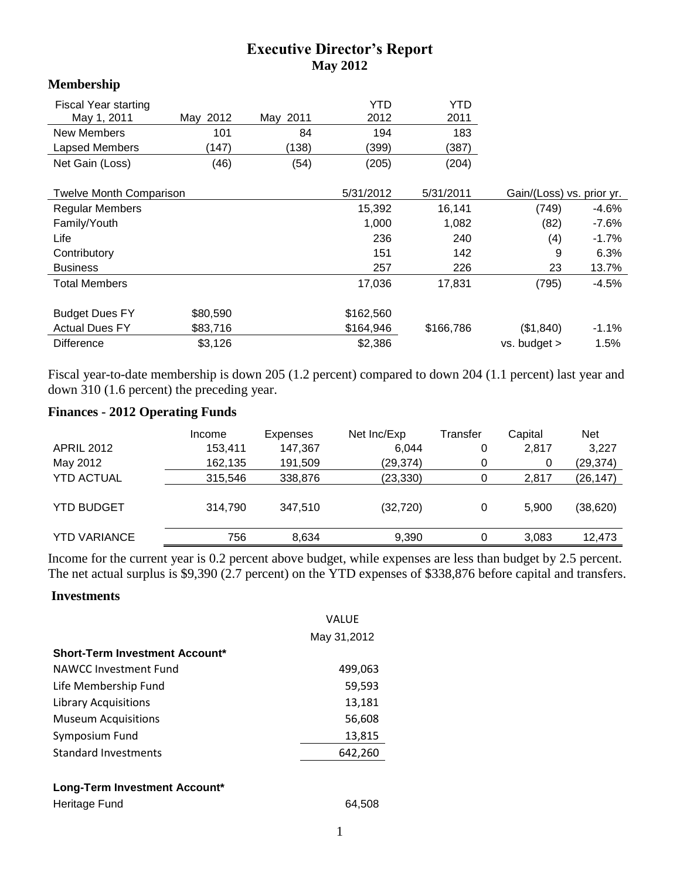## **Executive Director's Report May 2012**

### **Membership**

| <b>Fiscal Year starting</b><br>May 1, 2011 | May 2012 | May 2011 | YTD<br>2012 | YTD<br>2011 |                           |         |
|--------------------------------------------|----------|----------|-------------|-------------|---------------------------|---------|
| <b>New Members</b>                         | 101      | 84       | 194         | 183         |                           |         |
| Lapsed Members                             | (147)    | (138)    | (399)       | (387)       |                           |         |
| Net Gain (Loss)                            | (46)     | (54)     | (205)       | (204)       |                           |         |
|                                            |          |          |             |             |                           |         |
| <b>Twelve Month Comparison</b>             |          |          | 5/31/2012   | 5/31/2011   | Gain/(Loss) vs. prior yr. |         |
| <b>Regular Members</b>                     |          |          | 15,392      | 16,141      | (749)                     | $-4.6%$ |
| Family/Youth                               |          |          | 1,000       | 1,082       | (82)                      | $-7.6%$ |
| Life                                       |          |          | 236         | 240         | (4)                       | $-1.7%$ |
| Contributory                               |          |          | 151         | 142         | 9                         | 6.3%    |
| <b>Business</b>                            |          |          | 257         | 226         | 23                        | 13.7%   |
| <b>Total Members</b>                       |          |          | 17,036      | 17,831      | (795)                     | $-4.5%$ |
|                                            |          |          |             |             |                           |         |
| <b>Budget Dues FY</b>                      | \$80,590 |          | \$162,560   |             |                           |         |
| <b>Actual Dues FY</b>                      | \$83,716 |          | \$164,946   | \$166,786   | (\$1,840)                 | $-1.1%$ |
| <b>Difference</b>                          | \$3,126  |          | \$2,386     |             | vs. budget >              | 1.5%    |

Fiscal year-to-date membership is down 205 (1.2 percent) compared to down 204 (1.1 percent) last year and down 310 (1.6 percent) the preceding year.

### **Finances - 2012 Operating Funds**

|                     | Income  | Expenses | Net Inc/Exp | Transfer | Capital | <b>Net</b> |
|---------------------|---------|----------|-------------|----------|---------|------------|
| <b>APRIL 2012</b>   | 153,411 | 147,367  | 6.044       | 0        | 2,817   | 3,227      |
| May 2012            | 162,135 | 191,509  | (29, 374)   | 0        | 0       | (29, 374)  |
| <b>YTD ACTUAL</b>   | 315,546 | 338,876  | (23, 330)   | 0        | 2,817   | (26, 147)  |
| <b>YTD BUDGET</b>   | 314,790 | 347,510  | (32, 720)   | 0        | 5.900   | (38,620)   |
| <b>YTD VARIANCE</b> | 756     | 8,634    | 9,390       | 0        | 3.083   | 12,473     |

Income for the current year is 0.2 percent above budget, while expenses are less than budget by 2.5 percent. The net actual surplus is \$9,390 (2.7 percent) on the YTD expenses of \$338,876 before capital and transfers.

#### **Investments**

|                                       | VALUE       |
|---------------------------------------|-------------|
|                                       | May 31,2012 |
| <b>Short-Term Investment Account*</b> |             |
| NAWCC Investment Fund                 | 499,063     |
| Life Membership Fund                  | 59,593      |
| <b>Library Acquisitions</b>           | 13,181      |
| <b>Museum Acquisitions</b>            | 56,608      |
| Symposium Fund                        | 13,815      |
| <b>Standard Investments</b>           | 642,260     |
|                                       |             |

#### **Long-Term Investment Account\***

| Heritage Fund | 64,508 |
|---------------|--------|
|---------------|--------|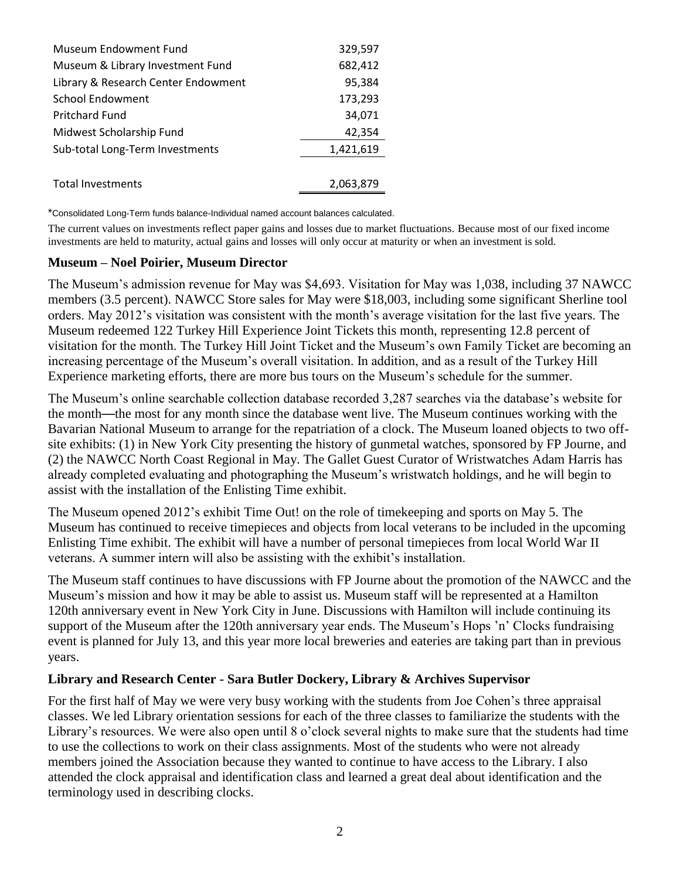| Museum Endowment Fund               | 329,597   |
|-------------------------------------|-----------|
| Museum & Library Investment Fund    | 682,412   |
| Library & Research Center Endowment | 95,384    |
| <b>School Endowment</b>             | 173,293   |
| <b>Pritchard Fund</b>               | 34,071    |
| Midwest Scholarship Fund            | 42,354    |
| Sub-total Long-Term Investments     | 1,421,619 |
|                                     |           |
| <b>Total Investments</b>            | 2,063,879 |

\*Consolidated Long-Term funds balance-Individual named account balances calculated.

The current values on investments reflect paper gains and losses due to market fluctuations. Because most of our fixed income investments are held to maturity, actual gains and losses will only occur at maturity or when an investment is sold.

#### **Museum – Noel Poirier, Museum Director**

The Museum's admission revenue for May was \$4,693. Visitation for May was 1,038, including 37 NAWCC members (3.5 percent). NAWCC Store sales for May were \$18,003, including some significant Sherline tool orders. May 2012's visitation was consistent with the month's average visitation for the last five years. The Museum redeemed 122 Turkey Hill Experience Joint Tickets this month, representing 12.8 percent of visitation for the month. The Turkey Hill Joint Ticket and the Museum's own Family Ticket are becoming an increasing percentage of the Museum's overall visitation. In addition, and as a result of the Turkey Hill Experience marketing efforts, there are more bus tours on the Museum's schedule for the summer.

The Museum's online searchable collection database recorded 3,287 searches via the database's website for the month—the most for any month since the database went live. The Museum continues working with the Bavarian National Museum to arrange for the repatriation of a clock. The Museum loaned objects to two offsite exhibits: (1) in New York City presenting the history of gunmetal watches, sponsored by FP Journe, and (2) the NAWCC North Coast Regional in May. The Gallet Guest Curator of Wristwatches Adam Harris has already completed evaluating and photographing the Museum's wristwatch holdings, and he will begin to assist with the installation of the Enlisting Time exhibit.

The Museum opened 2012's exhibit Time Out! on the role of timekeeping and sports on May 5. The Museum has continued to receive timepieces and objects from local veterans to be included in the upcoming Enlisting Time exhibit. The exhibit will have a number of personal timepieces from local World War II veterans. A summer intern will also be assisting with the exhibit's installation.

The Museum staff continues to have discussions with FP Journe about the promotion of the NAWCC and the Museum's mission and how it may be able to assist us. Museum staff will be represented at a Hamilton 120th anniversary event in New York City in June. Discussions with Hamilton will include continuing its support of the Museum after the 120th anniversary year ends. The Museum's Hops 'n' Clocks fundraising event is planned for July 13, and this year more local breweries and eateries are taking part than in previous years.

#### **Library and Research Center - Sara Butler Dockery, Library & Archives Supervisor**

For the first half of May we were very busy working with the students from Joe Cohen's three appraisal classes. We led Library orientation sessions for each of the three classes to familiarize the students with the Library's resources. We were also open until 8 o'clock several nights to make sure that the students had time to use the collections to work on their class assignments. Most of the students who were not already members joined the Association because they wanted to continue to have access to the Library. I also attended the clock appraisal and identification class and learned a great deal about identification and the terminology used in describing clocks.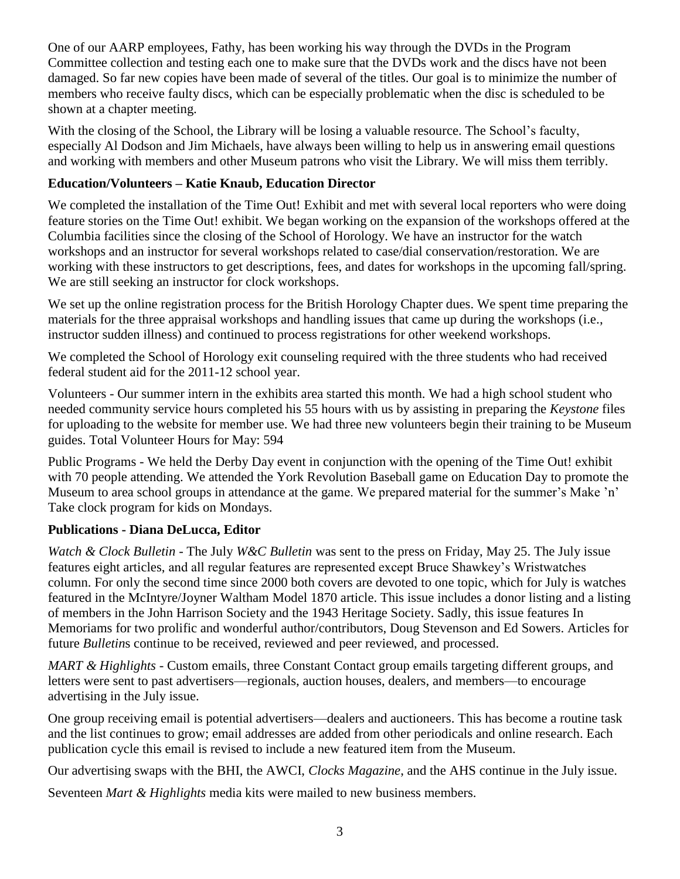One of our AARP employees, Fathy, has been working his way through the DVDs in the Program Committee collection and testing each one to make sure that the DVDs work and the discs have not been damaged. So far new copies have been made of several of the titles. Our goal is to minimize the number of members who receive faulty discs, which can be especially problematic when the disc is scheduled to be shown at a chapter meeting.

With the closing of the School, the Library will be losing a valuable resource. The School's faculty, especially Al Dodson and Jim Michaels, have always been willing to help us in answering email questions and working with members and other Museum patrons who visit the Library. We will miss them terribly.

## **Education/Volunteers – Katie Knaub, Education Director**

We completed the installation of the Time Out! Exhibit and met with several local reporters who were doing feature stories on the Time Out! exhibit. We began working on the expansion of the workshops offered at the Columbia facilities since the closing of the School of Horology. We have an instructor for the watch workshops and an instructor for several workshops related to case/dial conservation/restoration. We are working with these instructors to get descriptions, fees, and dates for workshops in the upcoming fall/spring. We are still seeking an instructor for clock workshops.

We set up the online registration process for the British Horology Chapter dues. We spent time preparing the materials for the three appraisal workshops and handling issues that came up during the workshops (i.e., instructor sudden illness) and continued to process registrations for other weekend workshops.

We completed the School of Horology exit counseling required with the three students who had received federal student aid for the 2011-12 school year.

Volunteers - Our summer intern in the exhibits area started this month. We had a high school student who needed community service hours completed his 55 hours with us by assisting in preparing the *Keystone* files for uploading to the website for member use. We had three new volunteers begin their training to be Museum guides. Total Volunteer Hours for May: 594

Public Programs - We held the Derby Day event in conjunction with the opening of the Time Out! exhibit with 70 people attending. We attended the York Revolution Baseball game on Education Day to promote the Museum to area school groups in attendance at the game. We prepared material for the summer's Make 'n' Take clock program for kids on Mondays.

## **Publications - Diana DeLucca, Editor**

*Watch & Clock Bulletin -* The July *W&C Bulletin* was sent to the press on Friday, May 25. The July issue features eight articles, and all regular features are represented except Bruce Shawkey's Wristwatches column. For only the second time since 2000 both covers are devoted to one topic, which for July is watches featured in the McIntyre/Joyner Waltham Model 1870 article. This issue includes a donor listing and a listing of members in the John Harrison Society and the 1943 Heritage Society. Sadly, this issue features In Memoriams for two prolific and wonderful author/contributors, Doug Stevenson and Ed Sowers. Articles for future *Bulletin*s continue to be received, reviewed and peer reviewed, and processed.

*MART & Highlights -* Custom emails, three Constant Contact group emails targeting different groups, and letters were sent to past advertisers—regionals, auction houses, dealers, and members—to encourage advertising in the July issue.

One group receiving email is potential advertisers—dealers and auctioneers. This has become a routine task and the list continues to grow; email addresses are added from other periodicals and online research. Each publication cycle this email is revised to include a new featured item from the Museum.

Our advertising swaps with the BHI, the AWCI, *Clocks Magazine*, and the AHS continue in the July issue.

Seventeen *Mart & Highlights* media kits were mailed to new business members.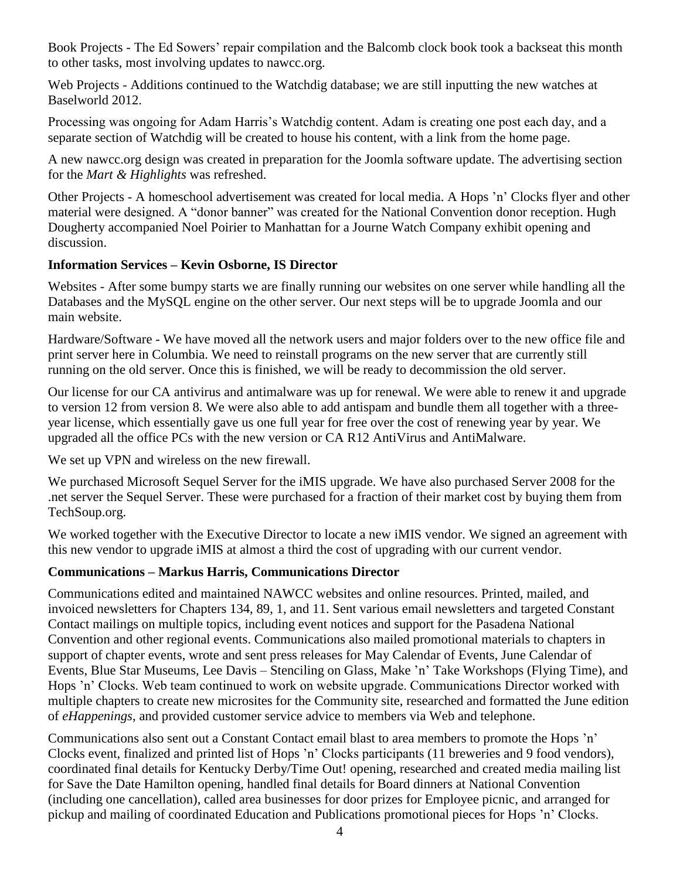Book Projects - The Ed Sowers' repair compilation and the Balcomb clock book took a backseat this month to other tasks, most involving updates to nawcc.org.

Web Projects - Additions continued to the Watchdig database; we are still inputting the new watches at Baselworld 2012.

Processing was ongoing for Adam Harris's Watchdig content. Adam is creating one post each day, and a separate section of Watchdig will be created to house his content, with a link from the home page.

A new nawcc.org design was created in preparation for the Joomla software update. The advertising section for the *Mart & Highlights* was refreshed.

Other Projects - A homeschool advertisement was created for local media. A Hops 'n' Clocks flyer and other material were designed. A "donor banner" was created for the National Convention donor reception. Hugh Dougherty accompanied Noel Poirier to Manhattan for a Journe Watch Company exhibit opening and discussion.

### **Information Services – Kevin Osborne, IS Director**

Websites - After some bumpy starts we are finally running our websites on one server while handling all the Databases and the MySQL engine on the other server. Our next steps will be to upgrade Joomla and our main website.

Hardware/Software - We have moved all the network users and major folders over to the new office file and print server here in Columbia. We need to reinstall programs on the new server that are currently still running on the old server. Once this is finished, we will be ready to decommission the old server.

Our license for our CA antivirus and antimalware was up for renewal. We were able to renew it and upgrade to version 12 from version 8. We were also able to add antispam and bundle them all together with a threeyear license, which essentially gave us one full year for free over the cost of renewing year by year. We upgraded all the office PCs with the new version or CA R12 AntiVirus and AntiMalware.

We set up VPN and wireless on the new firewall.

We purchased Microsoft Sequel Server for the iMIS upgrade. We have also purchased Server 2008 for the .net server the Sequel Server. These were purchased for a fraction of their market cost by buying them from TechSoup.org.

We worked together with the Executive Director to locate a new iMIS vendor. We signed an agreement with this new vendor to upgrade iMIS at almost a third the cost of upgrading with our current vendor.

### **Communications – Markus Harris, Communications Director**

Communications edited and maintained NAWCC websites and online resources. Printed, mailed, and invoiced newsletters for Chapters 134, 89, 1, and 11. Sent various email newsletters and targeted Constant Contact mailings on multiple topics, including event notices and support for the Pasadena National Convention and other regional events. Communications also mailed promotional materials to chapters in support of chapter events, wrote and sent press releases for May Calendar of Events, June Calendar of Events, Blue Star Museums, Lee Davis – Stenciling on Glass, Make 'n' Take Workshops (Flying Time), and Hops 'n' Clocks. Web team continued to work on website upgrade. Communications Director worked with multiple chapters to create new microsites for the Community site, researched and formatted the June edition of *eHappenings*, and provided customer service advice to members via Web and telephone.

Communications also sent out a Constant Contact email blast to area members to promote the Hops 'n' Clocks event, finalized and printed list of Hops 'n' Clocks participants (11 breweries and 9 food vendors), coordinated final details for Kentucky Derby/Time Out! opening, researched and created media mailing list for Save the Date Hamilton opening, handled final details for Board dinners at National Convention (including one cancellation), called area businesses for door prizes for Employee picnic, and arranged for pickup and mailing of coordinated Education and Publications promotional pieces for Hops 'n' Clocks.